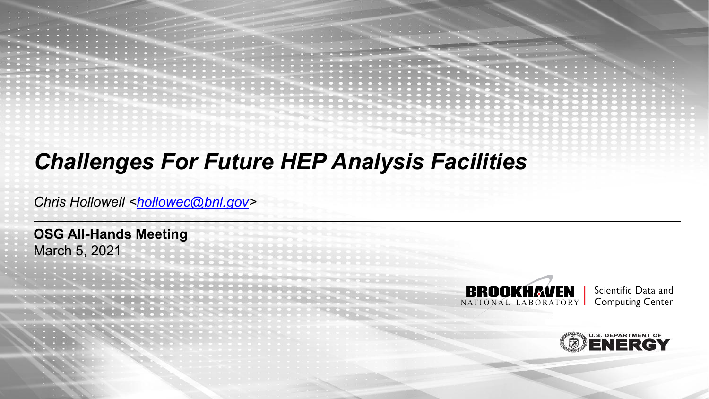### *Challenges For Future HEP Analysis Facilities*

*Chris Hollowell <[hollowec@bnl.gov](mailto:hollowec@bnl.gov)>*

**OSG All-Hands Meeting** March 5, 2021

> **BROOKHAVEN** NATIONAL LABORATORY

Scientific Data and **Computing Center** 

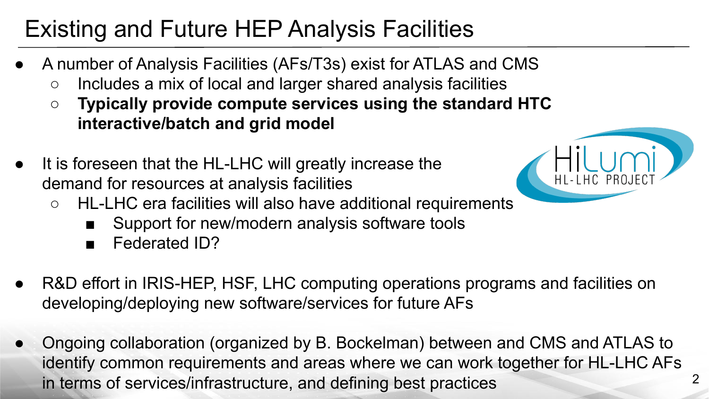# Existing and Future HEP Analysis Facilities

- A number of Analysis Facilities (AFs/T3s) exist for ATLAS and CMS
	- Includes a mix of local and larger shared analysis facilities
	- **○ Typically provide compute services using the standard HTC interactive/batch and grid model**
- It is foreseen that the HL-LHC will greatly increase the demand for resources at analysis facilities
	- HL-LHC era facilities will also have additional requirements
		- Support for new/modern analysis software tools
		- Federated ID?
- R&D effort in IRIS-HEP, HSF, LHC computing operations programs and facilities on developing/deploying new software/services for future AFs
- Ongoing collaboration (organized by B. Bockelman) between and CMS and ATLAS to identify common requirements and areas where we can work together for HL-LHC AFs in terms of services/infrastructure, and defining best practices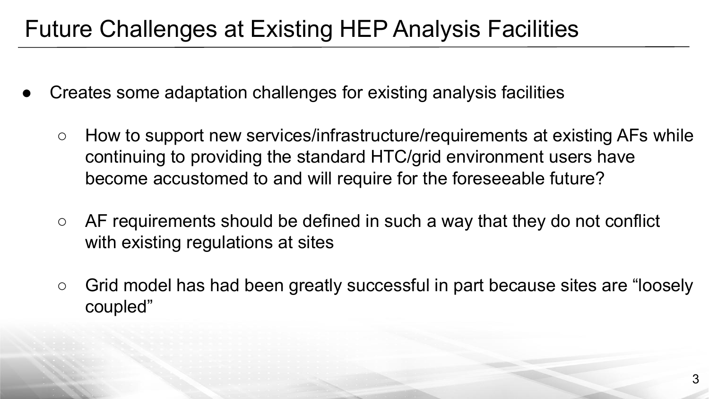## Future Challenges at Existing HEP Analysis Facilities

- Creates some adaptation challenges for existing analysis facilities
	- How to support new services/infrastructure/requirements at existing AFs while continuing to providing the standard HTC/grid environment users have become accustomed to and will require for the foreseeable future?
	- $\circ$  AF requirements should be defined in such a way that they do not conflict with existing regulations at sites
	- Grid model has had been greatly successful in part because sites are "loosely" coupled"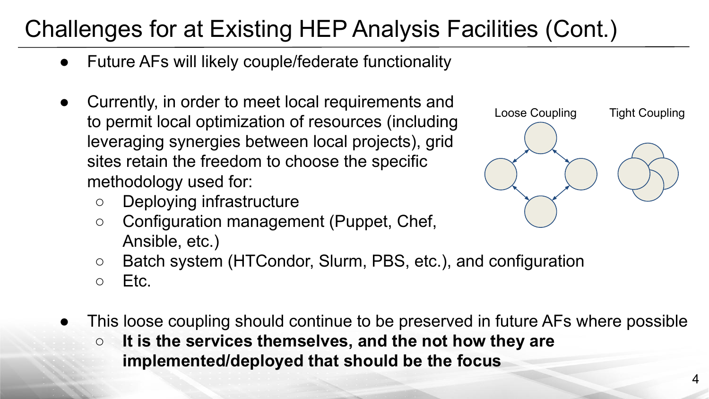# Challenges for at Existing HEP Analysis Facilities (Cont.)

- Future AFs will likely couple/federate functionality
- Currently, in order to meet local requirements and to permit local optimization of resources (including leveraging synergies between local projects), grid sites retain the freedom to choose the specific methodology used for:
	- Deploying infrastructure
	- Configuration management (Puppet, Chef, Ansible, etc.)



- Batch system (HTCondor, Slurm, PBS, etc.), and configuration
- $\circ$  Etc.
- This loose coupling should continue to be preserved in future AFs where possible
	- **○ It is the services themselves, and the not how they are implemented/deployed that should be the focus**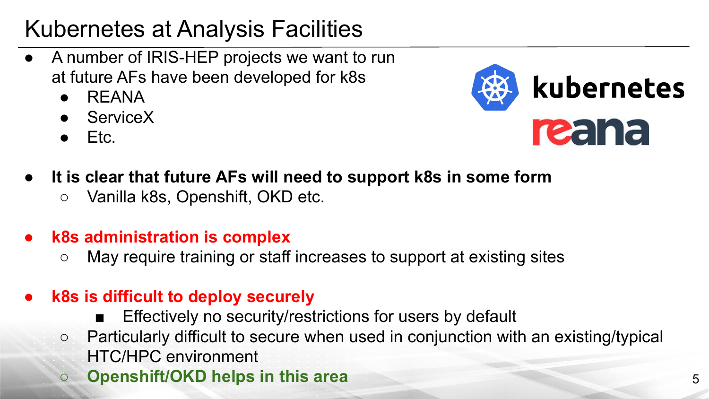# Kubernetes at Analysis Facilities

- A number of IRIS-HEP projects we want to run at future AFs have been developed for k8s
	- $\bullet$  RFANA
	- ServiceX
	- Etc.



- **It is clear that future AFs will need to support k8s in some form** 
	- Vanilla k8s, Openshift, OKD etc.
- **● k8s administration is complex**
	- May require training or staff increases to support at existing sites
- **● k8s is difficult to deploy securely**
	- Effectively no security/restrictions for users by default
	- Particularly difficult to secure when used in conjunction with an existing/typical HTC/HPC environment
	- **○ Openshift/OKD helps in this area** 5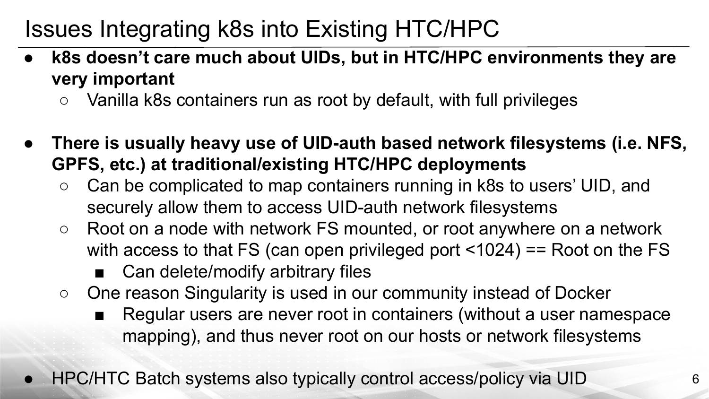# Issues Integrating k8s into Existing HTC/HPC

- **● k8s doesn't care much about UIDs, but in HTC/HPC environments they are very important**
	- Vanilla k8s containers run as root by default, with full privileges
- **● There is usually heavy use of UID-auth based network filesystems (i.e. NFS, GPFS, etc.) at traditional/existing HTC/HPC deployments**
	- Can be complicated to map containers running in k8s to users' UID, and securely allow them to access UID-auth network filesystems
	- Root on a node with network FS mounted, or root anywhere on a network with access to that FS (can open privileged port <1024) == Root on the FS
		- Can delete/modify arbitrary files
	- One reason Singularity is used in our community instead of Docker
		- Regular users are never root in containers (without a user namespace mapping), and thus never root on our hosts or network filesystems
- HPC/HTC Batch systems also typically control access/policy via UID 6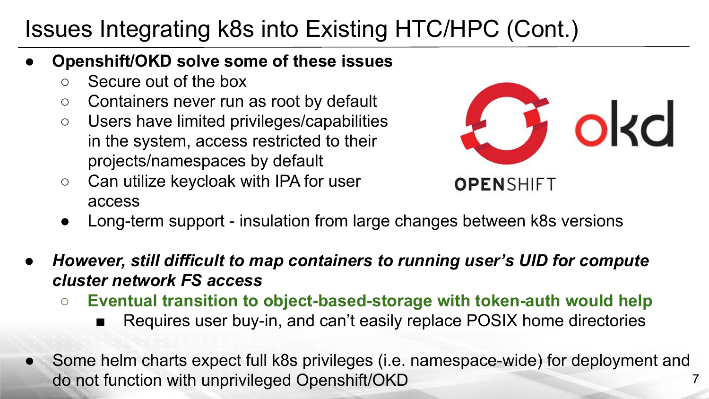# Issues Integrating k8s into Existing HTC/HPC (Cont.)

- **Openshift/OKD solve some of these issues**
	- Secure out of the box
	- Containers never run as root by default
	- Users have limited privileges/capabilities in the system, access restricted to their projects/namespaces by default
	- Can utilize keycloak with IPA for user access



- Long-term support insulation from large changes between k8s versions
- *● However, still difficult to map containers to running user's UID for compute cluster network FS access*
	- **○ Eventual transition to object-based-storage with token-auth would help**
		- Requires user buy-in, and can't easily replace POSIX home directories
- Some helm charts expect full k8s privileges (i.e. namespace-wide) for deployment and do not function with unprivileged Openshift/OKD 7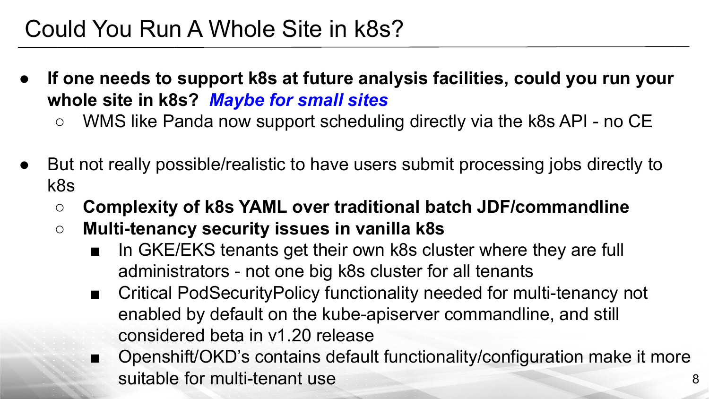### Could You Run A Whole Site in k8s?

- **If one needs to support k8s at future analysis facilities, could you run your whole site in k8s?** *Maybe for small sites*
	- *○* WMS like Panda now support scheduling directly via the k8s API no CE
- But not really possible/realistic to have users submit processing jobs directly to k8s
	- **○ Complexity of k8s YAML over traditional batch JDF/commandline**
	- **○ Multi-tenancy security issues in vanilla k8s**
		- In GKE/EKS tenants get their own k8s cluster where they are full administrators - not one big k8s cluster for all tenants
		- Critical PodSecurityPolicy functionality needed for multi-tenancy not enabled by default on the kube-apiserver commandline, and still considered beta in v1.20 release
		- Openshift/OKD's contains default functionality/configuration make it more suitable for multi-tenant use 8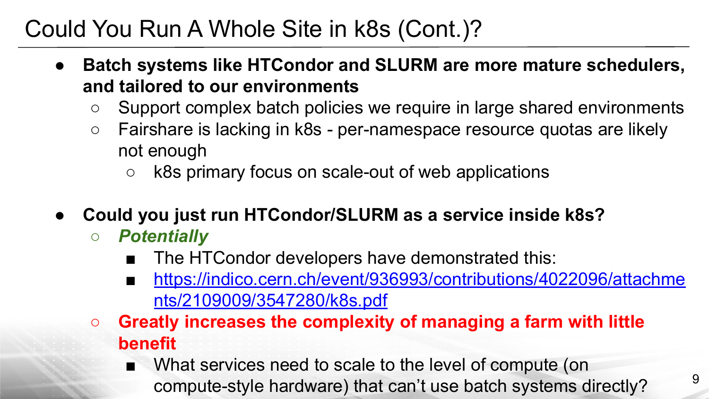## Could You Run A Whole Site in k8s (Cont.)?

- **● Batch systems like HTCondor and SLURM are more mature schedulers, and tailored to our environments**
	- Support complex batch policies we require in large shared environments
	- Fairshare is lacking in k8s per-namespace resource quotas are likely not enough
		- k8s primary focus on scale-out of web applications
- **● Could you just run HTCondor/SLURM as a service inside k8s?**
	- *○ Potentially*
		- The HTCondor developers have demonstrated this:
		- [https://indico.cern.ch/event/936993/contributions/4022096/attachme](https://indico.cern.ch/event/936993/contributions/4022096/attachments/2109009/3547280/k8s.pdf) [nts/2109009/3547280/k8s.pdf](https://indico.cern.ch/event/936993/contributions/4022096/attachments/2109009/3547280/k8s.pdf)
	- **○ Greatly increases the complexity of managing a farm with little benefit**
		- What services need to scale to the level of compute (on compute-style hardware) that can't use batch systems directly? <sup>9</sup>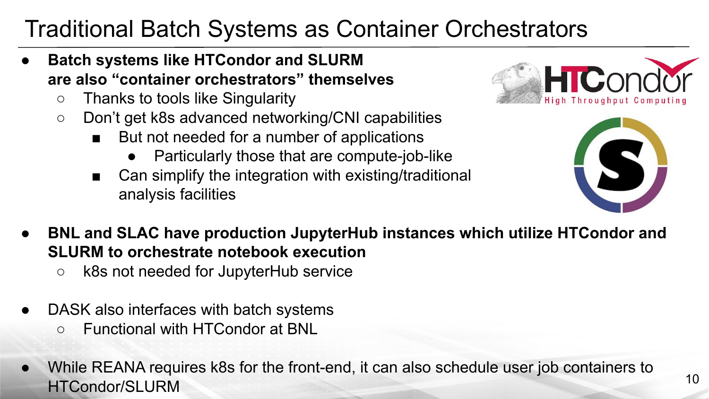## Traditional Batch Systems as Container Orchestrators

- **● Batch systems like HTCondor and SLURM are also "container orchestrators" themselves**
	- Thanks to tools like Singularity
	- Don't get k8s advanced networking/CNI capabilities
		- But not needed for a number of applications
			- Particularly those that are compute-job-like
		- Can simplify the integration with existing/traditional analysis facilities
- **● BNL and SLAC have production JupyterHub instances which utilize HTCondor and SLURM to orchestrate notebook execution**
	- k8s not needed for JupyterHub service
- DASK also interfaces with batch systems
	- Functional with HTCondor at BNL
- While REANA requires k8s for the front-end, it can also schedule user job containers to HTCondor/SLURM 10



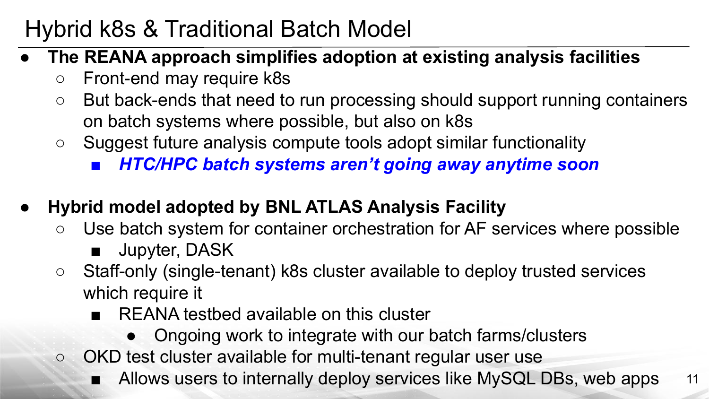## Hybrid k8s & Traditional Batch Model

- **● The REANA approach simplifies adoption at existing analysis facilities**
	- Front-end may require k8s
	- But back-ends that need to run processing should support running containers on batch systems where possible, but also on k8s
	- Suggest future analysis compute tools adopt similar functionality
		- *■ HTC/HPC batch systems aren't going away anytime soon*
- **● Hybrid model adopted by BNL ATLAS Analysis Facility**
	- Use batch system for container orchestration for AF services where possible
		- Jupyter, DASK
	- Staff-only (single-tenant) k8s cluster available to deploy trusted services which require it
		- REANA testbed available on this cluster
			- Ongoing work to integrate with our batch farms/clusters
	- OKD test cluster available for multi-tenant regular user use
		- Allows users to internally deploy services like MySQL DBs, web apps 11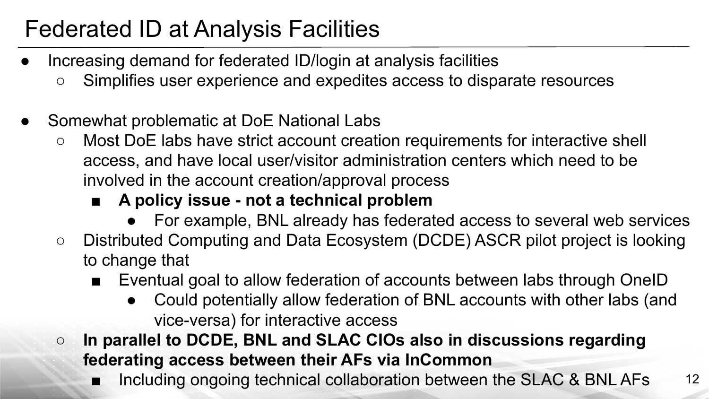# Federated ID at Analysis Facilities

- Increasing demand for federated ID/login at analysis facilities
	- Simplifies user experience and expedites access to disparate resources
- Somewhat problematic at DoE National Labs
	- Most DoE labs have strict account creation requirements for interactive shell access, and have local user/visitor administration centers which need to be involved in the account creation/approval process

### **■ A policy issue - not a technical problem**

- For example, BNL already has federated access to several web services
- Distributed Computing and Data Ecosystem (DCDE) ASCR pilot project is looking to change that
	- Eventual goal to allow federation of accounts between labs through OneID
		- Could potentially allow federation of BNL accounts with other labs (and vice-versa) for interactive access
- **In parallel to DCDE, BNL and SLAC CIOs also in discussions regarding federating access between their AFs via InCommon**
	- Including ongoing technical collaboration between the SLAC & BNL AFs 12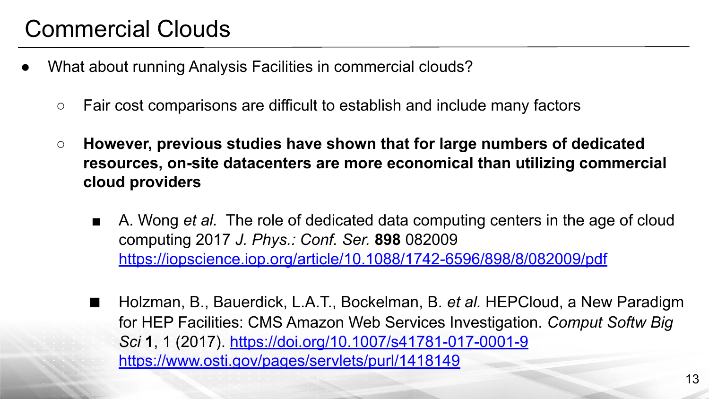### Commercial Clouds

- What about running Analysis Facilities in commercial clouds?
	- Fair cost comparisons are difficult to establish and include many factors
	- **○ However, previous studies have shown that for large numbers of dedicated resources, on-site datacenters are more economical than utilizing commercial cloud providers**
		- A. Wong *et al.* The role of dedicated data computing centers in the age of cloud computing 2017 *J. Phys.: Conf. Ser.* **898** 082009 <https://iopscience.iop.org/article/10.1088/1742-6596/898/8/082009/pdf>
		- Holzman, B., Bauerdick, L.A.T., Bockelman, B. *et al.* HEPCloud, a New Paradigm for HEP Facilities: CMS Amazon Web Services Investigation. *Comput Softw Big Sci* **1**, 1 (2017). <https://doi.org/10.1007/s41781-017-0001-9> <https://www.osti.gov/pages/servlets/purl/1418149>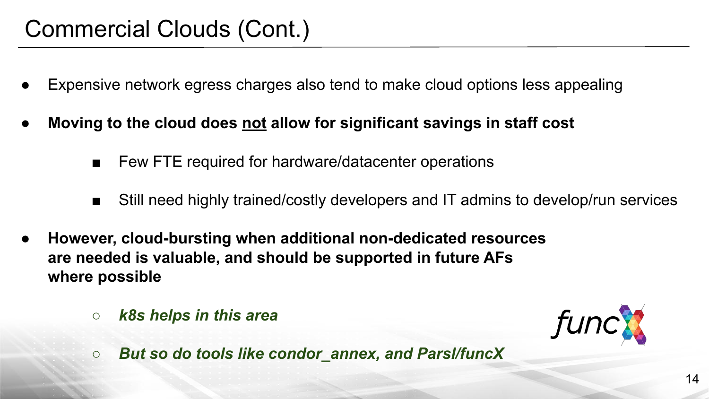### Commercial Clouds (Cont.)

- Expensive network egress charges also tend to make cloud options less appealing
- **Moving to the cloud does not allow for significant savings in staff cost** 
	- Few FTE required for hardware/datacenter operations
	- Still need highly trained/costly developers and IT admins to develop/run services
- **● However, cloud-bursting when additional non-dedicated resources are needed is valuable, and should be supported in future AFs where possible**
	- *○ k8s helps in this area*



*○ But so do tools like condor\_annex, and Parsl/funcX*